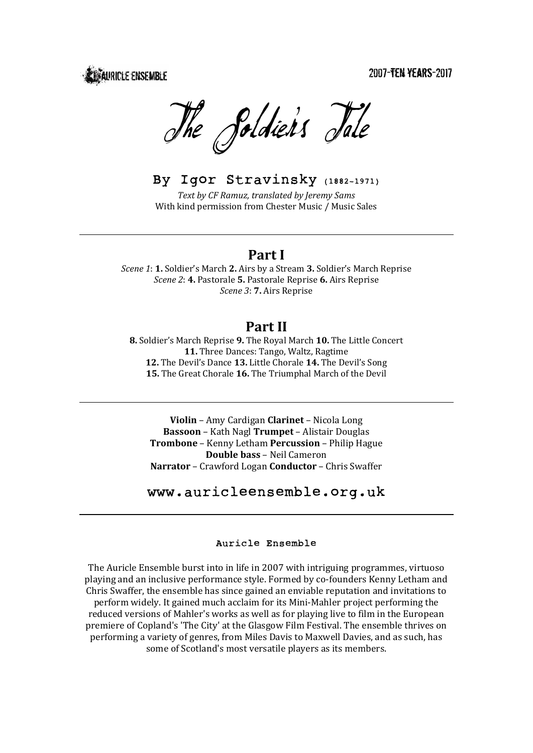2007-TEN YEARS-2017

**DEALIRICLE ENSEMBLE** 

The Soldier's Jale

# By Igor Stravinsky (1882-1971)

*Text by CF Ramuz, translated by Jeremy Sams* With kind permission from Chester Music / Music Sales

## **Part I**

*Scene* 1: 1. Soldier's March 2. Airs by a Stream 3. Soldier's March Reprise *Scene* 2: **4.** Pastorale **5.** Pastorale Reprise **6.** Airs Reprise *Scene* 3: **7.** Airs Reprise

## **Part II**

**8.** Soldier's March Reprise **9.** The Royal March **10.** The Little Concert **11.** Three Dances: Tango, Waltz, Ragtime 12. The Devil's Dance 13. Little Chorale 14. The Devil's Song **15.** The Great Chorale **16.** The Triumphal March of the Devil

**Violin** – Amy Cardigan **Clarinet** – Nicola Long **Bassoon** – Kath Nagl Trumpet – Alistair Douglas **Trombone** – Kenny Letham **Percussion** – Philip Hague **Double bass** - Neil Cameron **Narrator** – Crawford Logan **Conductor** – Chris Swaffer

# www.auricleensemble.org.uk

### Auricle Ensemble

The Auricle Ensemble burst into in life in 2007 with intriguing programmes, virtuoso playing and an inclusive performance style. Formed by co-founders Kenny Letham and Chris Swaffer, the ensemble has since gained an enviable reputation and invitations to perform widely. It gained much acclaim for its Mini-Mahler project performing the reduced versions of Mahler's works as well as for playing live to film in the European premiere of Copland's 'The City' at the Glasgow Film Festival. The ensemble thrives on performing a variety of genres, from Miles Davis to Maxwell Davies, and as such, has some of Scotland's most versatile players as its members.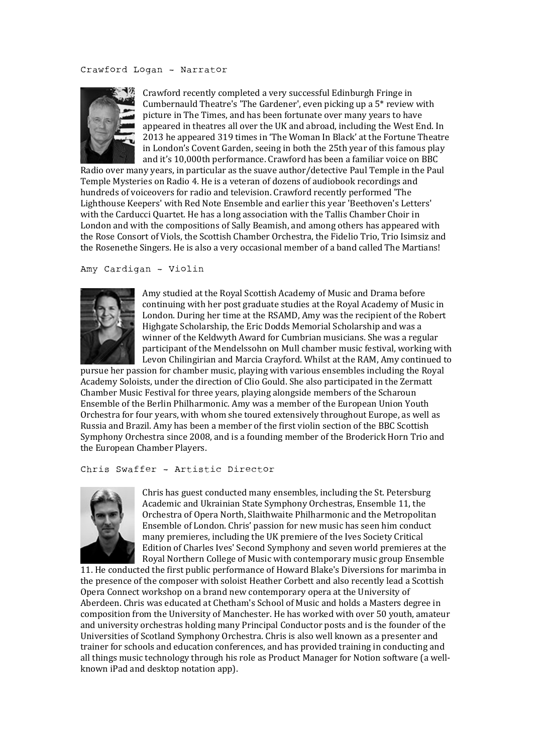#### Crawford Logan – Narrator



Crawford recently completed a very successful Edinburgh Fringe in Cumbernauld Theatre's 'The Gardener', even picking up a  $5*$  review with picture in The Times, and has been fortunate over many vears to have appeared in theatres all over the UK and abroad, including the West End. In 2013 he appeared 319 times in 'The Woman In Black' at the Fortune Theatre in London's Covent Garden, seeing in both the 25th year of this famous play and it's 10,000th performance. Crawford has been a familiar voice on BBC

Radio over many years, in particular as the suave author/detective Paul Temple in the Paul Temple Mysteries on Radio 4. He is a veteran of dozens of audiobook recordings and hundreds of voiceovers for radio and television. Crawford recently performed 'The Lighthouse Keepers' with Red Note Ensemble and earlier this year 'Beethoven's Letters' with the Carducci Quartet. He has a long association with the Tallis Chamber Choir in London and with the compositions of Sally Beamish, and among others has appeared with the Rose Consort of Viols, the Scottish Chamber Orchestra, the Fidelio Trio, Trio Isimsiz and the Rosenethe Singers. He is also a very occasional member of a band called The Martians!

Amy Cardigan – Violin



Amy studied at the Royal Scottish Academy of Music and Drama before continuing with her post graduate studies at the Royal Academy of Music in London. During her time at the RSAMD, Amy was the recipient of the Robert Highgate Scholarship, the Eric Dodds Memorial Scholarship and was a winner of the Keldwyth Award for Cumbrian musicians. She was a regular participant of the Mendelssohn on Mull chamber music festival, working with Levon Chilingirian and Marcia Crayford. Whilst at the RAM, Amy continued to

pursue her passion for chamber music, playing with various ensembles including the Royal Academy Soloists, under the direction of Clio Gould. She also participated in the Zermatt Chamber Music Festival for three years, playing alongside members of the Scharoun Ensemble of the Berlin Philharmonic. Amy was a member of the European Union Youth Orchestra for four years, with whom she toured extensively throughout Europe, as well as Russia and Brazil. Amy has been a member of the first violin section of the BBC Scottish Symphony Orchestra since 2008, and is a founding member of the Broderick Horn Trio and the European Chamber Players.

#### Chris Swaffer – Artistic Director



Chris has guest conducted many ensembles, including the St. Petersburg Academic and Ukrainian State Symphony Orchestras, Ensemble 11, the Orchestra of Opera North, Slaithwaite Philharmonic and the Metropolitan Ensemble of London. Chris' passion for new music has seen him conduct many premieres, including the UK premiere of the Ives Society Critical Edition of Charles Ives' Second Symphony and seven world premieres at the Royal Northern College of Music with contemporary music group Ensemble

11. He conducted the first public performance of Howard Blake's Diversions for marimba in the presence of the composer with soloist Heather Corbett and also recently lead a Scottish Opera Connect workshop on a brand new contemporary opera at the University of Aberdeen. Chris was educated at Chetham's School of Music and holds a Masters degree in composition from the University of Manchester. He has worked with over 50 youth, amateur and university orchestras holding many Principal Conductor posts and is the founder of the Universities of Scotland Symphony Orchestra. Chris is also well known as a presenter and trainer for schools and education conferences, and has provided training in conducting and all things music technology through his role as Product Manager for Notion software (a wellknown iPad and desktop notation app).